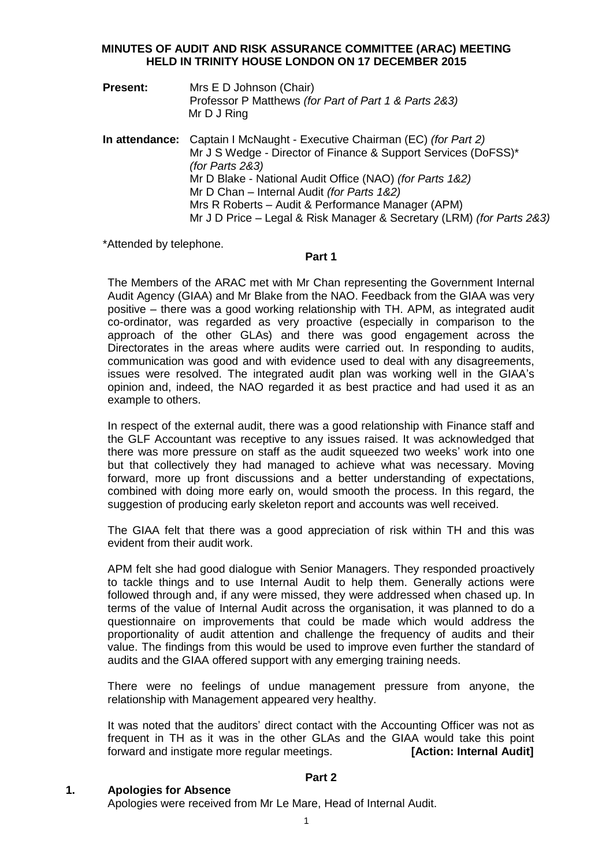# **MINUTES OF AUDIT AND RISK ASSURANCE COMMITTEE (ARAC) MEETING HELD IN TRINITY HOUSE LONDON ON 17 DECEMBER 2015**

- **Present:** Mrs E D Johnson (Chair) Professor P Matthews *(for Part of Part 1 & Parts 2&3)* Mr D J Ring
- **In attendance:** Captain I McNaught Executive Chairman (EC) *(for Part 2)* Mr J S Wedge - Director of Finance & Support Services (DoFSS)\* *(for Parts 2&3)* Mr D Blake - National Audit Office (NAO) *(for Parts 1&2)* Mr D Chan – Internal Audit *(for Parts 1&2)* Mrs R Roberts – Audit & Performance Manager (APM) Mr J D Price – Legal & Risk Manager & Secretary (LRM) *(for Parts 2&3)*

\*Attended by telephone.

# **Part 1**

The Members of the ARAC met with Mr Chan representing the Government Internal Audit Agency (GIAA) and Mr Blake from the NAO. Feedback from the GIAA was very positive – there was a good working relationship with TH. APM, as integrated audit co-ordinator, was regarded as very proactive (especially in comparison to the approach of the other GLAs) and there was good engagement across the Directorates in the areas where audits were carried out. In responding to audits, communication was good and with evidence used to deal with any disagreements, issues were resolved. The integrated audit plan was working well in the GIAA's opinion and, indeed, the NAO regarded it as best practice and had used it as an example to others.

In respect of the external audit, there was a good relationship with Finance staff and the GLF Accountant was receptive to any issues raised. It was acknowledged that there was more pressure on staff as the audit squeezed two weeks' work into one but that collectively they had managed to achieve what was necessary. Moving forward, more up front discussions and a better understanding of expectations, combined with doing more early on, would smooth the process. In this regard, the suggestion of producing early skeleton report and accounts was well received.

The GIAA felt that there was a good appreciation of risk within TH and this was evident from their audit work.

APM felt she had good dialogue with Senior Managers. They responded proactively to tackle things and to use Internal Audit to help them. Generally actions were followed through and, if any were missed, they were addressed when chased up. In terms of the value of Internal Audit across the organisation, it was planned to do a questionnaire on improvements that could be made which would address the proportionality of audit attention and challenge the frequency of audits and their value. The findings from this would be used to improve even further the standard of audits and the GIAA offered support with any emerging training needs.

There were no feelings of undue management pressure from anyone, the relationship with Management appeared very healthy.

It was noted that the auditors' direct contact with the Accounting Officer was not as frequent in TH as it was in the other GLAs and the GIAA would take this point forward and instigate more regular meetings. **[Action: Internal Audit]**

#### **1. Apologies for Absence**

**Part 2**

Apologies were received from Mr Le Mare, Head of Internal Audit.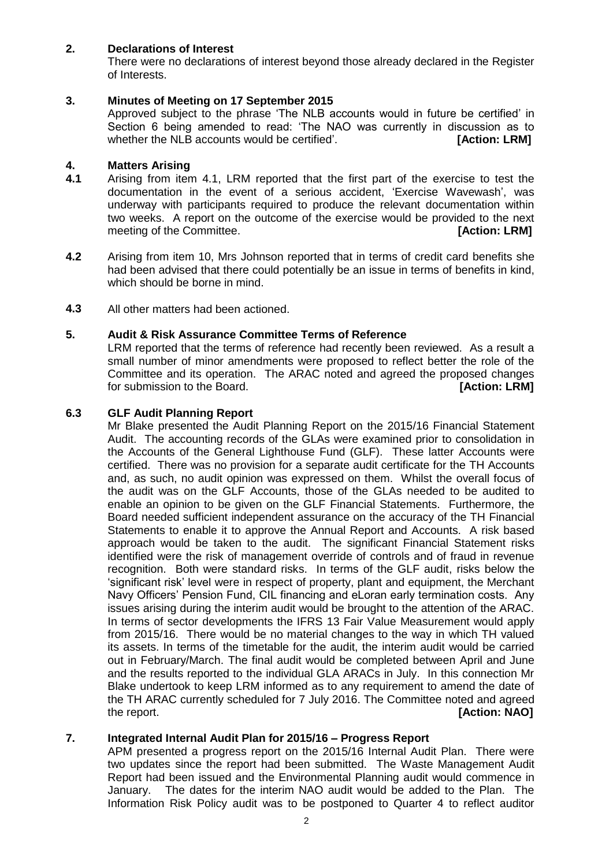# **2. Declarations of Interest**

There were no declarations of interest beyond those already declared in the Register of Interests.

### **3. Minutes of Meeting on 17 September 2015**

Approved subject to the phrase 'The NLB accounts would in future be certified' in Section 6 being amended to read: 'The NAO was currently in discussion as to whether the NLB accounts would be certified'. **[Action: LRM]** 

#### **4. Matters Arising**

- **4.1** Arising from item 4.1, LRM reported that the first part of the exercise to test the documentation in the event of a serious accident, 'Exercise Wavewash', was underway with participants required to produce the relevant documentation within two weeks. A report on the outcome of the exercise would be provided to the next meeting of the Committee. *COMMITTER COMMITTER COMMITTER COMMITTER COMMITTER COMMITTER COMMITTER COMMITTER COMMITTER COMMITTER COMMITTER COMMITTER COMMITTER COMMITTER COMMITTER COMMITTER COMMITTER COMMITTER COMMITTER COMM*
- **4.2** Arising from item 10, Mrs Johnson reported that in terms of credit card benefits she had been advised that there could potentially be an issue in terms of benefits in kind, which should be borne in mind.
- **4.3** All other matters had been actioned.

### **5. Audit & Risk Assurance Committee Terms of Reference**

LRM reported that the terms of reference had recently been reviewed. As a result a small number of minor amendments were proposed to reflect better the role of the Committee and its operation. The ARAC noted and agreed the proposed changes for submission to the Board. **[Action: LRM]**

#### **6.3 GLF Audit Planning Report**

Mr Blake presented the Audit Planning Report on the 2015/16 Financial Statement Audit. The accounting records of the GLAs were examined prior to consolidation in the Accounts of the General Lighthouse Fund (GLF). These latter Accounts were certified. There was no provision for a separate audit certificate for the TH Accounts and, as such, no audit opinion was expressed on them. Whilst the overall focus of the audit was on the GLF Accounts, those of the GLAs needed to be audited to enable an opinion to be given on the GLF Financial Statements. Furthermore, the Board needed sufficient independent assurance on the accuracy of the TH Financial Statements to enable it to approve the Annual Report and Accounts. A risk based approach would be taken to the audit. The significant Financial Statement risks identified were the risk of management override of controls and of fraud in revenue recognition. Both were standard risks. In terms of the GLF audit, risks below the 'significant risk' level were in respect of property, plant and equipment, the Merchant Navy Officers' Pension Fund, CIL financing and eLoran early termination costs. Any issues arising during the interim audit would be brought to the attention of the ARAC. In terms of sector developments the IFRS 13 Fair Value Measurement would apply from 2015/16. There would be no material changes to the way in which TH valued its assets. In terms of the timetable for the audit, the interim audit would be carried out in February/March. The final audit would be completed between April and June and the results reported to the individual GLA ARACs in July. In this connection Mr Blake undertook to keep LRM informed as to any requirement to amend the date of the TH ARAC currently scheduled for 7 July 2016. The Committee noted and agreed the report. **[Action: NAO]** 

# **7. Integrated Internal Audit Plan for 2015/16 – Progress Report**

APM presented a progress report on the 2015/16 Internal Audit Plan. There were two updates since the report had been submitted. The Waste Management Audit Report had been issued and the Environmental Planning audit would commence in January. The dates for the interim NAO audit would be added to the Plan. The Information Risk Policy audit was to be postponed to Quarter 4 to reflect auditor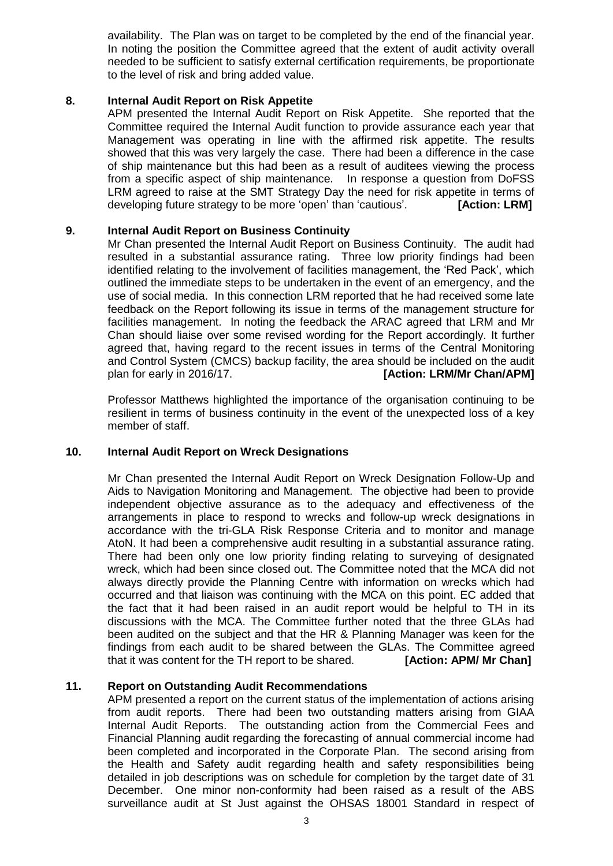availability. The Plan was on target to be completed by the end of the financial year. In noting the position the Committee agreed that the extent of audit activity overall needed to be sufficient to satisfy external certification requirements, be proportionate to the level of risk and bring added value.

# **8. Internal Audit Report on Risk Appetite**

APM presented the Internal Audit Report on Risk Appetite. She reported that the Committee required the Internal Audit function to provide assurance each year that Management was operating in line with the affirmed risk appetite. The results showed that this was very largely the case. There had been a difference in the case of ship maintenance but this had been as a result of auditees viewing the process from a specific aspect of ship maintenance. In response a question from DoFSS LRM agreed to raise at the SMT Strategy Day the need for risk appetite in terms of developing future strategy to be more 'open' than 'cautious'. **[Action: LRM]**

#### **9. Internal Audit Report on Business Continuity**

Mr Chan presented the Internal Audit Report on Business Continuity. The audit had resulted in a substantial assurance rating. Three low priority findings had been identified relating to the involvement of facilities management, the 'Red Pack', which outlined the immediate steps to be undertaken in the event of an emergency, and the use of social media. In this connection LRM reported that he had received some late feedback on the Report following its issue in terms of the management structure for facilities management. In noting the feedback the ARAC agreed that LRM and Mr Chan should liaise over some revised wording for the Report accordingly. It further agreed that, having regard to the recent issues in terms of the Central Monitoring and Control System (CMCS) backup facility, the area should be included on the audit plan for early in 2016/17. *IPPERFEREE 14 IAction: LRM/Mr Chan/APM]* 

Professor Matthews highlighted the importance of the organisation continuing to be resilient in terms of business continuity in the event of the unexpected loss of a key member of staff.

#### **10. Internal Audit Report on Wreck Designations**

Mr Chan presented the Internal Audit Report on Wreck Designation Follow-Up and Aids to Navigation Monitoring and Management. The objective had been to provide independent objective assurance as to the adequacy and effectiveness of the arrangements in place to respond to wrecks and follow-up wreck designations in accordance with the tri-GLA Risk Response Criteria and to monitor and manage AtoN. It had been a comprehensive audit resulting in a substantial assurance rating. There had been only one low priority finding relating to surveying of designated wreck, which had been since closed out. The Committee noted that the MCA did not always directly provide the Planning Centre with information on wrecks which had occurred and that liaison was continuing with the MCA on this point. EC added that the fact that it had been raised in an audit report would be helpful to TH in its discussions with the MCA. The Committee further noted that the three GLAs had been audited on the subject and that the HR & Planning Manager was keen for the findings from each audit to be shared between the GLAs. The Committee agreed that it was content for the TH report to be shared. **[Action: APM/ Mr Chan]**

#### **11. Report on Outstanding Audit Recommendations**

APM presented a report on the current status of the implementation of actions arising from audit reports. There had been two outstanding matters arising from GIAA Internal Audit Reports. The outstanding action from the Commercial Fees and Financial Planning audit regarding the forecasting of annual commercial income had been completed and incorporated in the Corporate Plan. The second arising from the Health and Safety audit regarding health and safety responsibilities being detailed in job descriptions was on schedule for completion by the target date of 31 December. One minor non-conformity had been raised as a result of the ABS surveillance audit at St Just against the OHSAS 18001 Standard in respect of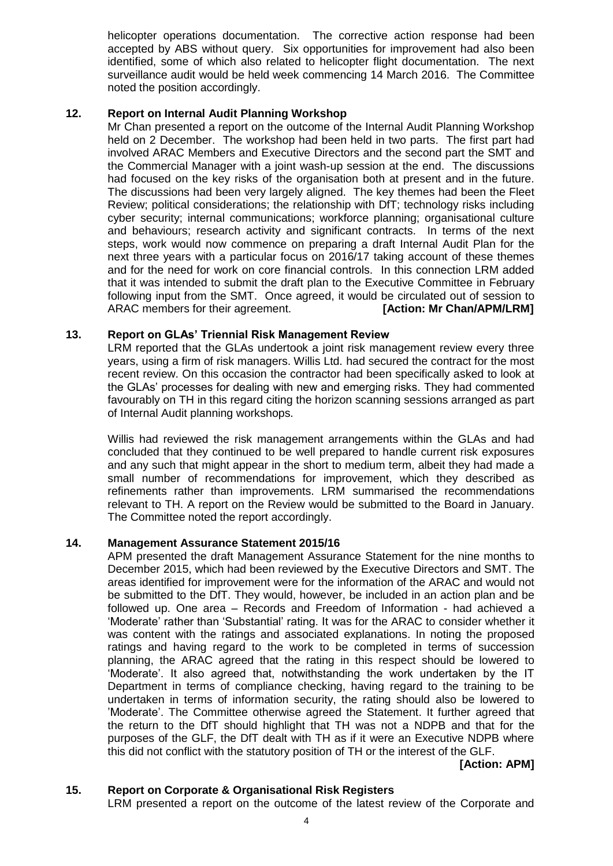helicopter operations documentation. The corrective action response had been accepted by ABS without query. Six opportunities for improvement had also been identified, some of which also related to helicopter flight documentation. The next surveillance audit would be held week commencing 14 March 2016. The Committee noted the position accordingly.

# **12. Report on Internal Audit Planning Workshop**

Mr Chan presented a report on the outcome of the Internal Audit Planning Workshop held on 2 December. The workshop had been held in two parts. The first part had involved ARAC Members and Executive Directors and the second part the SMT and the Commercial Manager with a joint wash-up session at the end. The discussions had focused on the key risks of the organisation both at present and in the future. The discussions had been very largely aligned. The key themes had been the Fleet Review; political considerations; the relationship with DfT; technology risks including cyber security; internal communications; workforce planning; organisational culture and behaviours; research activity and significant contracts. In terms of the next steps, work would now commence on preparing a draft Internal Audit Plan for the next three years with a particular focus on 2016/17 taking account of these themes and for the need for work on core financial controls. In this connection LRM added that it was intended to submit the draft plan to the Executive Committee in February following input from the SMT. Once agreed, it would be circulated out of session to ARAC members for their agreement. **[Action: Mr Chan/APM/LRM]**

# **13. Report on GLAs' Triennial Risk Management Review**

LRM reported that the GLAs undertook a joint risk management review every three years, using a firm of risk managers. Willis Ltd. had secured the contract for the most recent review. On this occasion the contractor had been specifically asked to look at the GLAs' processes for dealing with new and emerging risks. They had commented favourably on TH in this regard citing the horizon scanning sessions arranged as part of Internal Audit planning workshops.

Willis had reviewed the risk management arrangements within the GLAs and had concluded that they continued to be well prepared to handle current risk exposures and any such that might appear in the short to medium term, albeit they had made a small number of recommendations for improvement, which they described as refinements rather than improvements. LRM summarised the recommendations relevant to TH. A report on the Review would be submitted to the Board in January. The Committee noted the report accordingly.

# **14. Management Assurance Statement 2015/16**

APM presented the draft Management Assurance Statement for the nine months to December 2015, which had been reviewed by the Executive Directors and SMT. The areas identified for improvement were for the information of the ARAC and would not be submitted to the DfT. They would, however, be included in an action plan and be followed up. One area – Records and Freedom of Information - had achieved a 'Moderate' rather than 'Substantial' rating. It was for the ARAC to consider whether it was content with the ratings and associated explanations. In noting the proposed ratings and having regard to the work to be completed in terms of succession planning, the ARAC agreed that the rating in this respect should be lowered to 'Moderate'. It also agreed that, notwithstanding the work undertaken by the IT Department in terms of compliance checking, having regard to the training to be undertaken in terms of information security, the rating should also be lowered to 'Moderate'. The Committee otherwise agreed the Statement. It further agreed that the return to the DfT should highlight that TH was not a NDPB and that for the purposes of the GLF, the DfT dealt with TH as if it were an Executive NDPB where this did not conflict with the statutory position of TH or the interest of the GLF.

**[Action: APM]**

# **15. Report on Corporate & Organisational Risk Registers**

LRM presented a report on the outcome of the latest review of the Corporate and